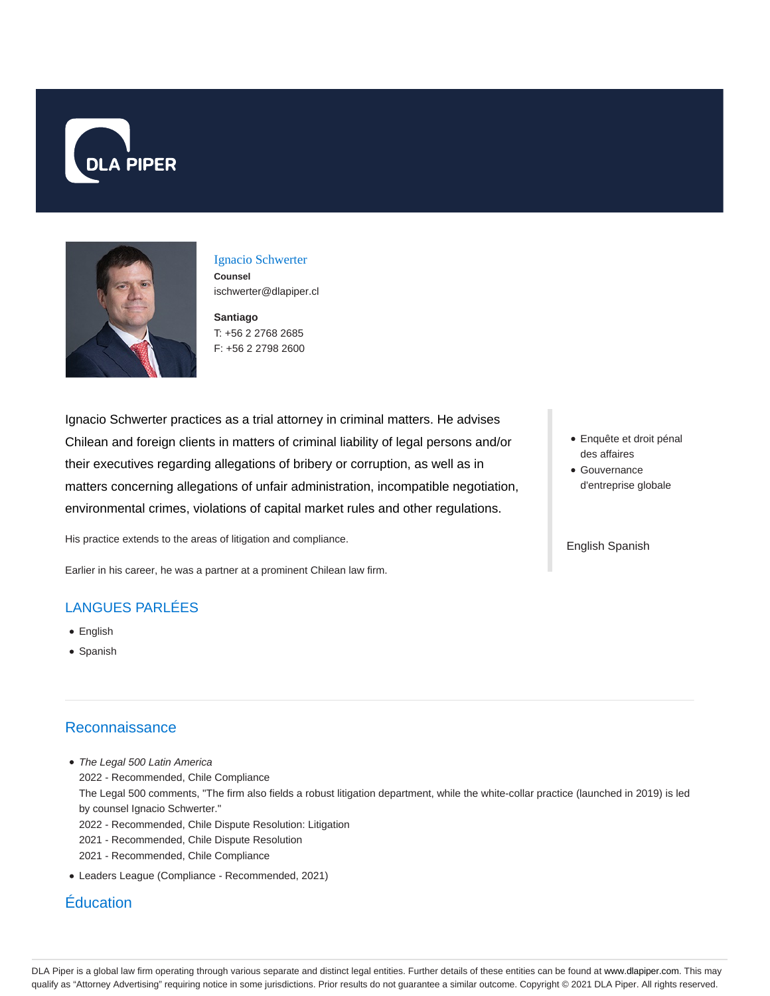



## Ignacio Schwerter **Counsel** ischwerter@dlapiper.cl

**Santiago** T: +56 2 2768 2685 F: +56 2 2798 2600

Ignacio Schwerter practices as a trial attorney in criminal matters. He advises Chilean and foreign clients in matters of criminal liability of legal persons and/or their executives regarding allegations of bribery or corruption, as well as in matters concerning allegations of unfair administration, incompatible negotiation, environmental crimes, violations of capital market rules and other regulations.

His practice extends to the areas of litigation and compliance.

Earlier in his career, he was a partner at a prominent Chilean law firm.

## LANGUES PARLÉES

- English
- Spanish

## **Reconnaissance**

- The Legal 500 Latin America 2022 - Recommended, Chile Compliance The Legal 500 comments, "The firm also fields a robust litigation department, while the white-collar practice (launched in 2019) is led by counsel Ignacio Schwerter." 2022 - Recommended, Chile Dispute Resolution: Litigation 2021 - Recommended, Chile Dispute Resolution 2021 - Recommended, Chile Compliance
- Leaders League (Compliance Recommended, 2021)

## Éducation

- Enquête et droit pénal des affaires
- Gouvernance d'entreprise globale

English Spanish